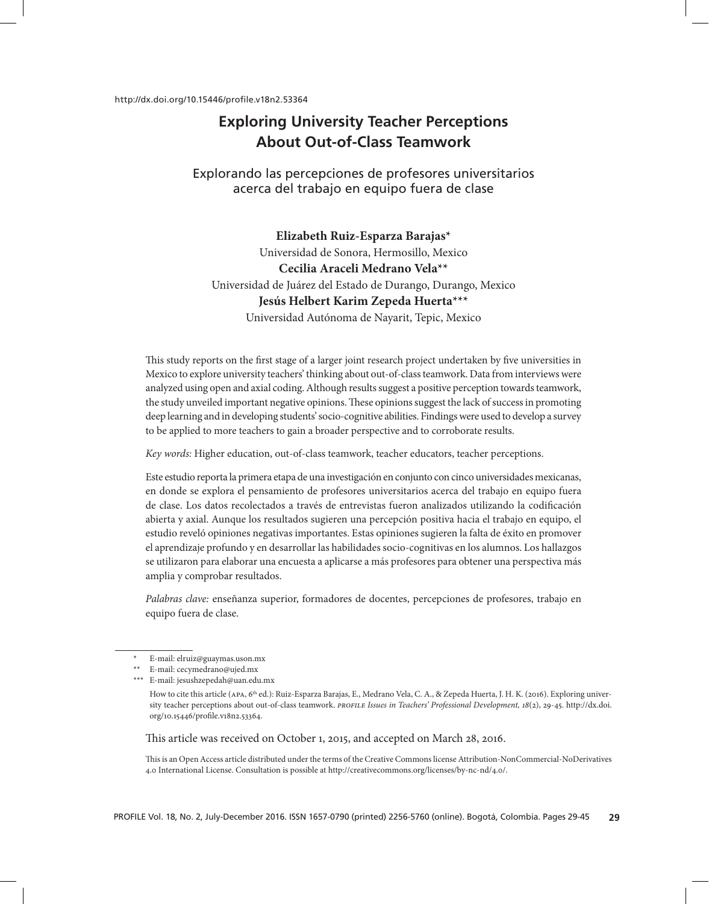# **Exploring University Teacher Perceptions About Out-of-Class Teamwork**

Explorando las percepciones de profesores universitarios acerca del trabajo en equipo fuera de clase

# **Elizabeth Ruiz-Esparza Barajas\***

Universidad de Sonora, Hermosillo, Mexico **Cecilia Araceli Medrano Vela\*\*** Universidad de Juárez del Estado de Durango, Durango, Mexico **Jesús Helbert Karim Zepeda Huerta\*\*\*** Universidad Autónoma de Nayarit, Tepic, Mexico

This study reports on the first stage of a larger joint research project undertaken by five universities in Mexico to explore university teachers' thinking about out-of-class teamwork. Data from interviews were analyzed using open and axial coding. Although results suggest a positive perception towards teamwork, the study unveiled important negative opinions. These opinions suggest the lack of success in promoting deep learning and in developing students' socio-cognitive abilities. Findings were used to develop a survey to be applied to more teachers to gain a broader perspective and to corroborate results.

*Key words:* Higher education, out-of-class teamwork, teacher educators, teacher perceptions.

Este estudio reporta la primera etapa de una investigación en conjunto con cinco universidades mexicanas, en donde se explora el pensamiento de profesores universitarios acerca del trabajo en equipo fuera de clase. Los datos recolectados a través de entrevistas fueron analizados utilizando la codificación abierta y axial. Aunque los resultados sugieren una percepción positiva hacia el trabajo en equipo, el estudio reveló opiniones negativas importantes. Estas opiniones sugieren la falta de éxito en promover el aprendizaje profundo y en desarrollar las habilidades socio-cognitivas en los alumnos. Los hallazgos se utilizaron para elaborar una encuesta a aplicarse a más profesores para obtener una perspectiva más amplia y comprobar resultados.

*Palabras clave:* enseñanza superior, formadores de docentes, percepciones de profesores, trabajo en equipo fuera de clase.

- \* E-mail: elruiz@guaymas.uson.mx
- \*\* E-mail: cecymedrano@ujed.mx
- \*\*\* E-mail: jesushzepedah@uan.edu.mx

How to cite this article (APA, 6<sup>th</sup> ed.): Ruiz-Esparza Barajas, E., Medrano Vela, C. A., & Zepeda Huerta, J. H. K. (2016). Exploring university teacher perceptions about out-of-class teamwork. *PROFILE Issues in Teachers' Professional Development*, 18(2), 29-45. http://dx.doi. org/10.15446/profile.v18n2.53364.

This article was received on October 1, 2015, and accepted on March 28, 2016.

This is an Open Access article distributed under the terms of the Creative Commons license Attribution-NonCommercial-NoDerivatives 4.0 International License. Consultation is possible at http://creativecommons.org/licenses/by-nc-nd/4.0/.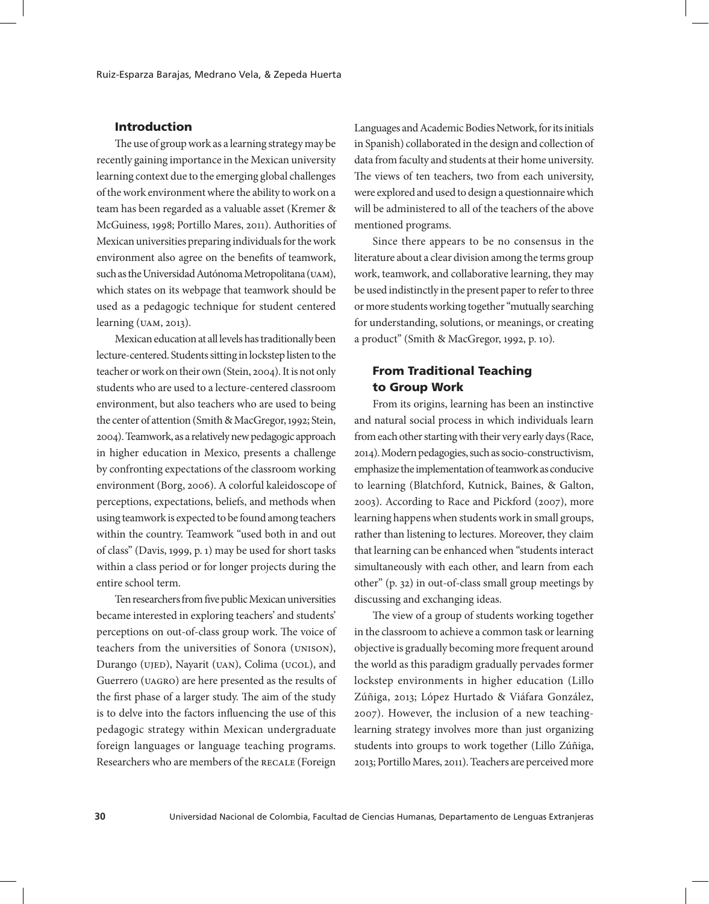# Introduction

The use of group work as a learning strategy may be recently gaining importance in the Mexican university learning context due to the emerging global challenges of the work environment where the ability to work on a team has been regarded as a valuable asset (Kremer & McGuiness, 1998; Portillo Mares, 2011). Authorities of Mexican universities preparing individuals for the work environment also agree on the benefits of teamwork, such as the Universidad Autónoma Metropolitana (UAM), which states on its webpage that teamwork should be used as a pedagogic technique for student centered learning (uam, 2013).

Mexican education at all levels has traditionally been lecture-centered. Students sitting in lockstep listen to the teacher or work on their own (Stein, 2004). It is not only students who are used to a lecture-centered classroom environment, but also teachers who are used to being the center of attention (Smith & MacGregor, 1992; Stein, 2004). Teamwork, as a relatively new pedagogic approach in higher education in Mexico, presents a challenge by confronting expectations of the classroom working environment (Borg, 2006). A colorful kaleidoscope of perceptions, expectations, beliefs, and methods when using teamwork is expected to be found among teachers within the country. Teamwork "used both in and out of class" (Davis, 1999, p. 1) may be used for short tasks within a class period or for longer projects during the entire school term.

Ten researchers from five public Mexican universities became interested in exploring teachers' and students' perceptions on out-of-class group work. The voice of teachers from the universities of Sonora (unison), Durango (UJED), Nayarit (UAN), Colima (UCOL), and Guerrero (uagro) are here presented as the results of the first phase of a larger study. The aim of the study is to delve into the factors influencing the use of this pedagogic strategy within Mexican undergraduate foreign languages or language teaching programs. Researchers who are members of the RECALE (Foreign

Languages and Academic Bodies Network, for its initials in Spanish) collaborated in the design and collection of data from faculty and students at their home university. The views of ten teachers, two from each university, were explored and used to design a questionnaire which will be administered to all of the teachers of the above mentioned programs.

Since there appears to be no consensus in the literature about a clear division among the terms group work, teamwork, and collaborative learning, they may be used indistinctly in the present paper to refer to three or more students working together "mutually searching for understanding, solutions, or meanings, or creating a product" (Smith & MacGregor, 1992, p. 10)*.*

# From Traditional Teaching to Group Work

From its origins, learning has been an instinctive and natural social process in which individuals learn from each other starting with their very early days (Race, 2014). Modern pedagogies, such as socio-constructivism, emphasize the implementation of teamwork as conducive to learning (Blatchford, Kutnick, Baines, & Galton, 2003). According to Race and Pickford (2007), more learning happens when students work in small groups, rather than listening to lectures. Moreover, they claim that learning can be enhanced when "students interact simultaneously with each other, and learn from each other" (p. 32) in out-of-class small group meetings by discussing and exchanging ideas.

The view of a group of students working together in the classroom to achieve a common task or learning objective is gradually becoming more frequent around the world as this paradigm gradually pervades former lockstep environments in higher education (Lillo Zúñiga, 2013; López Hurtado & Viáfara González, 2007). However, the inclusion of a new teachinglearning strategy involves more than just organizing students into groups to work together (Lillo Zúñiga, 2013; Portillo Mares, 2011). Teachers are perceived more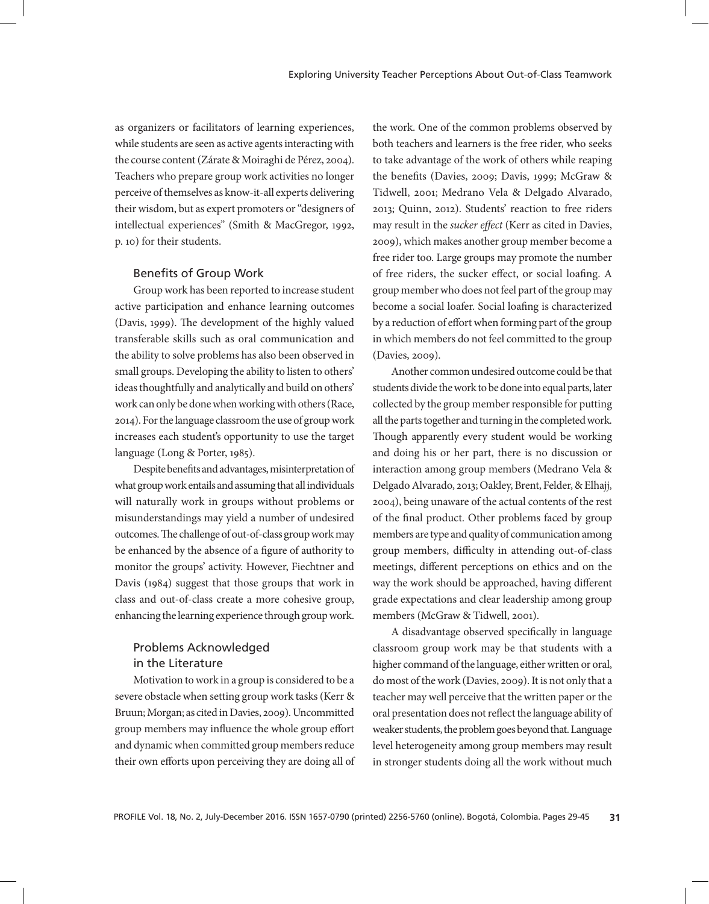as organizers or facilitators of learning experiences, while students are seen as active agents interacting with the course content (Zárate & Moiraghi de Pérez, 2004). Teachers who prepare group work activities no longer perceive of themselves as know-it-all experts delivering their wisdom, but as expert promoters or "designers of intellectual experiences" (Smith & MacGregor, 1992, p. 10) for their students.

### Benefits of Group Work

Group work has been reported to increase student active participation and enhance learning outcomes (Davis, 1999). The development of the highly valued transferable skills such as oral communication and the ability to solve problems has also been observed in small groups. Developing the ability to listen to others' ideas thoughtfully and analytically and build on others' work can only be done when working with others (Race, 2014). For the language classroom the use of group work increases each student's opportunity to use the target language (Long & Porter, 1985).

Despite benefits and advantages, misinterpretation of what group work entails and assuming that all individuals will naturally work in groups without problems or misunderstandings may yield a number of undesired outcomes. The challenge of out-of-class group work may be enhanced by the absence of a figure of authority to monitor the groups' activity. However, Fiechtner and Davis (1984) suggest that those groups that work in class and out-of-class create a more cohesive group, enhancing the learning experience through group work.

# Problems Acknowledged in the Literature

Motivation to work in a group is considered to be a severe obstacle when setting group work tasks (Kerr & Bruun; Morgan; as cited in Davies, 2009). Uncommitted group members may influence the whole group effort and dynamic when committed group members reduce their own efforts upon perceiving they are doing all of

the work. One of the common problems observed by both teachers and learners is the free rider, who seeks to take advantage of the work of others while reaping the benefits (Davies, 2009; Davis, 1999; McGraw & Tidwell, 2001; Medrano Vela & Delgado Alvarado, 2013; Quinn, 2012). Students' reaction to free riders may result in the *sucker effect* (Kerr as cited in Davies, 2009), which makes another group member become a free rider too. Large groups may promote the number of free riders, the sucker effect, or social loafing. A group member who does not feel part of the group may become a social loafer. Social loafing is characterized by a reduction of effort when forming part of the group in which members do not feel committed to the group (Davies, 2009).

Another common undesired outcome could be that students divide the work to be done into equal parts, later collected by the group member responsible for putting all the parts together and turning in the completed work. Though apparently every student would be working and doing his or her part, there is no discussion or interaction among group members (Medrano Vela & Delgado Alvarado, 2013; Oakley, Brent, Felder, & Elhajj, 2004), being unaware of the actual contents of the rest of the final product. Other problems faced by group members are type and quality of communication among group members, difficulty in attending out-of-class meetings, different perceptions on ethics and on the way the work should be approached, having different grade expectations and clear leadership among group members (McGraw & Tidwell, 2001).

A disadvantage observed specifically in language classroom group work may be that students with a higher command of the language, either written or oral, do most of the work (Davies, 2009). It is not only that a teacher may well perceive that the written paper or the oral presentation does not reflect the language ability of weaker students, the problem goes beyond that. Language level heterogeneity among group members may result in stronger students doing all the work without much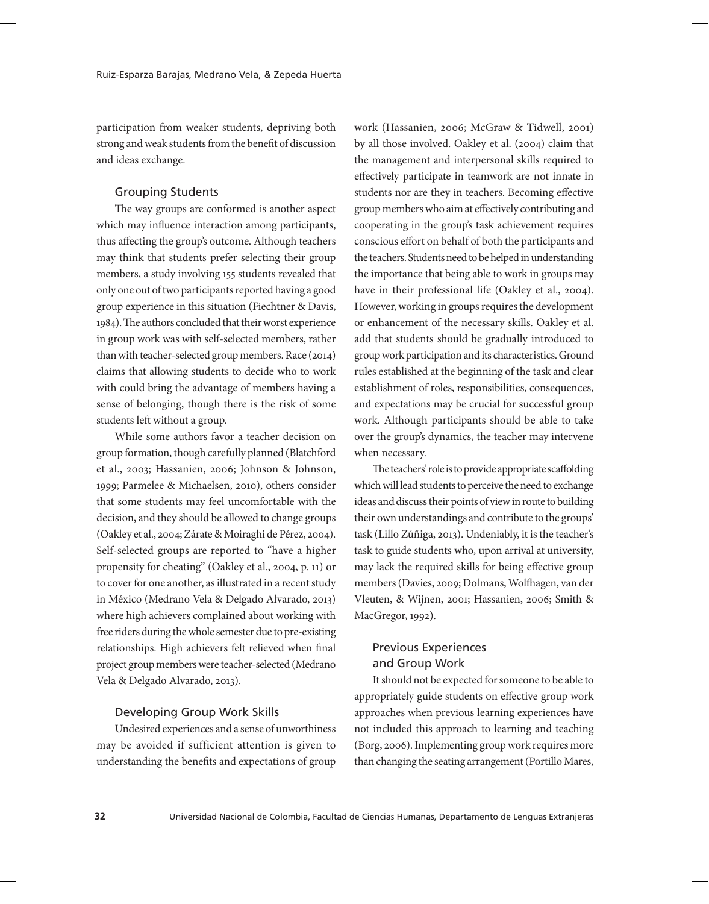participation from weaker students, depriving both strong and weak students from the benefit of discussion and ideas exchange.

### Grouping Students

The way groups are conformed is another aspect which may influence interaction among participants, thus affecting the group's outcome. Although teachers may think that students prefer selecting their group members, a study involving 155 students revealed that only one out of two participants reported having a good group experience in this situation (Fiechtner & Davis, 1984). The authors concluded that their worst experience in group work was with self-selected members, rather than with teacher-selected group members. Race (2014) claims that allowing students to decide who to work with could bring the advantage of members having a sense of belonging, though there is the risk of some students left without a group.

While some authors favor a teacher decision on group formation, though carefully planned (Blatchford et al., 2003; Hassanien, 2006; Johnson & Johnson, 1999; Parmelee & Michaelsen, 2010), others consider that some students may feel uncomfortable with the decision, and they should be allowed to change groups (Oakley et al., 2004; Zárate & Moiraghi de Pérez, 2004). Self-selected groups are reported to "have a higher propensity for cheating" (Oakley et al., 2004, p. 11) or to cover for one another, as illustrated in a recent study in México (Medrano Vela & Delgado Alvarado, 2013) where high achievers complained about working with free riders during the whole semester due to pre-existing relationships. High achievers felt relieved when final project group members were teacher-selected (Medrano Vela & Delgado Alvarado, 2013).

### Developing Group Work Skills

Undesired experiences and a sense of unworthiness may be avoided if sufficient attention is given to understanding the benefits and expectations of group work (Hassanien, 2006; McGraw & Tidwell, 2001) by all those involved. Oakley et al. (2004) claim that the management and interpersonal skills required to effectively participate in teamwork are not innate in students nor are they in teachers. Becoming effective group members who aim at effectively contributing and cooperating in the group's task achievement requires conscious effort on behalf of both the participants and the teachers. Students need to be helped in understanding the importance that being able to work in groups may have in their professional life (Oakley et al., 2004). However, working in groups requires the development or enhancement of the necessary skills. Oakley et al. add that students should be gradually introduced to group work participation and its characteristics. Ground rules established at the beginning of the task and clear establishment of roles, responsibilities, consequences, and expectations may be crucial for successful group work. Although participants should be able to take over the group's dynamics, the teacher may intervene when necessary.

The teachers' role is to provide appropriate scaffolding which will lead students to perceive the need to exchange ideas and discuss their points of view in route to building their own understandings and contribute to the groups' task (Lillo Zúñiga, 2013). Undeniably, it is the teacher's task to guide students who, upon arrival at university, may lack the required skills for being effective group members (Davies, 2009; Dolmans, Wolfhagen, van der Vleuten, & Wijnen, 2001; Hassanien, 2006; Smith & MacGregor, 1992).

# Previous Experiences and Group Work

It should not be expected for someone to be able to appropriately guide students on effective group work approaches when previous learning experiences have not included this approach to learning and teaching (Borg, 2006). Implementing group work requires more than changing the seating arrangement (Portillo Mares,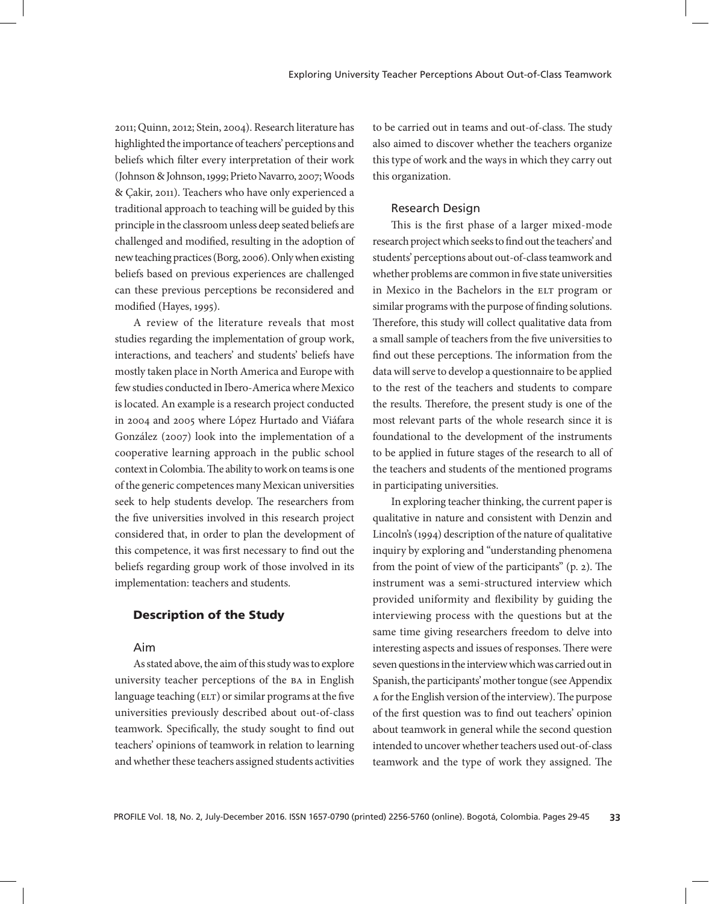2011; Quinn, 2012; Stein, 2004). Research literature has highlighted the importance of teachers' perceptions and beliefs which filter every interpretation of their work (Johnson & Johnson, 1999; Prieto Navarro, 2007; Woods & Çakir, 2011). Teachers who have only experienced a traditional approach to teaching will be guided by this principle in the classroom unless deep seated beliefs are challenged and modified, resulting in the adoption of new teaching practices (Borg, 2006). Only when existing beliefs based on previous experiences are challenged can these previous perceptions be reconsidered and modified (Hayes, 1995).

A review of the literature reveals that most studies regarding the implementation of group work, interactions, and teachers' and students' beliefs have mostly taken place in North America and Europe with few studies conducted in Ibero-America where Mexico is located. An example is a research project conducted in 2004 and 2005 where López Hurtado and Viáfara González (2007) look into the implementation of a cooperative learning approach in the public school context in Colombia. The ability to work on teams is one of the generic competences many Mexican universities seek to help students develop. The researchers from the five universities involved in this research project considered that, in order to plan the development of this competence, it was first necessary to find out the beliefs regarding group work of those involved in its implementation: teachers and students.

# Description of the Study

# Aim

As stated above, the aim of this study was to explore university teacher perceptions of the ba in English language teaching  $(\text{ELT})$  or similar programs at the five universities previously described about out-of-class teamwork. Specifically, the study sought to find out teachers' opinions of teamwork in relation to learning and whether these teachers assigned students activities to be carried out in teams and out-of-class. The study also aimed to discover whether the teachers organize this type of work and the ways in which they carry out this organization.

# Research Design

This is the first phase of a larger mixed-mode research project which seeks to find out the teachers' and students' perceptions about out-of-class teamwork and whether problems are common in five state universities in Mexico in the Bachelors in the ELT program or similar programs with the purpose of finding solutions. Therefore, this study will collect qualitative data from a small sample of teachers from the five universities to find out these perceptions. The information from the data will serve to develop a questionnaire to be applied to the rest of the teachers and students to compare the results. Therefore, the present study is one of the most relevant parts of the whole research since it is foundational to the development of the instruments to be applied in future stages of the research to all of the teachers and students of the mentioned programs in participating universities.

In exploring teacher thinking, the current paper is qualitative in nature and consistent with Denzin and Lincoln's (1994) description of the nature of qualitative inquiry by exploring and "understanding phenomena from the point of view of the participants" (p. 2). The instrument was a semi-structured interview which provided uniformity and flexibility by guiding the interviewing process with the questions but at the same time giving researchers freedom to delve into interesting aspects and issues of responses. There were seven questions in the interview which was carried out in Spanish, the participants' mother tongue (see Appendix a for the English version of the interview). The purpose of the first question was to find out teachers' opinion about teamwork in general while the second question intended to uncover whether teachers used out-of-class teamwork and the type of work they assigned. The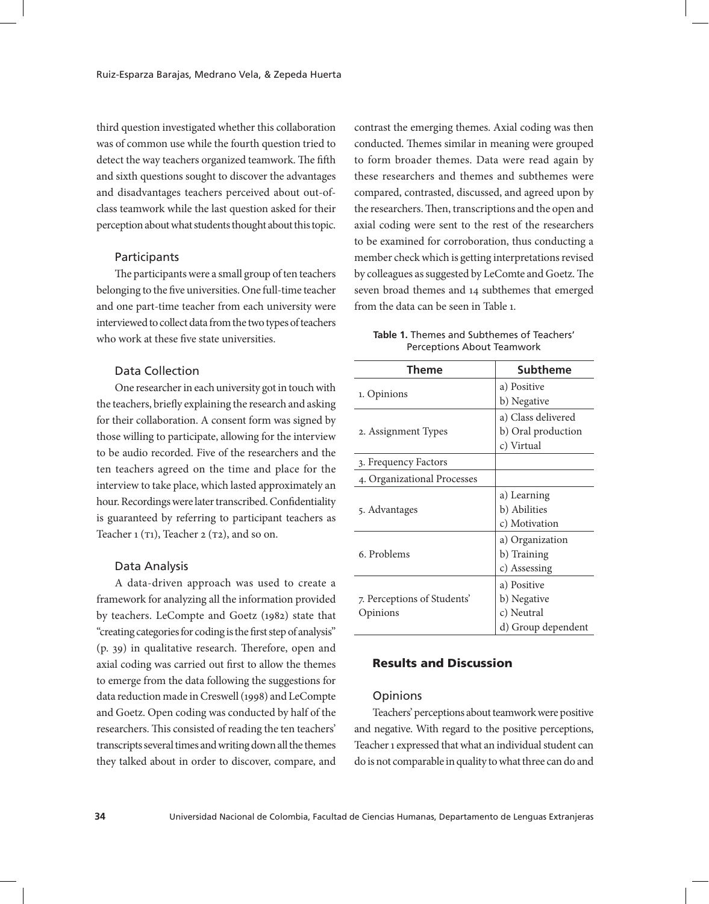third question investigated whether this collaboration was of common use while the fourth question tried to detect the way teachers organized teamwork. The fifth and sixth questions sought to discover the advantages and disadvantages teachers perceived about out-ofclass teamwork while the last question asked for their perception about what students thought about this topic.

# **Participants**

The participants were a small group of ten teachers belonging to the five universities. One full-time teacher and one part-time teacher from each university were interviewed to collect data from the two types of teachers who work at these five state universities.

# Data Collection

One researcher in each university got in touch with the teachers, briefly explaining the research and asking for their collaboration. A consent form was signed by those willing to participate, allowing for the interview to be audio recorded. Five of the researchers and the ten teachers agreed on the time and place for the interview to take place, which lasted approximately an hour. Recordings were later transcribed. Confidentiality is guaranteed by referring to participant teachers as Teacher  $1 (T1)$ , Teacher  $2 (T2)$ , and so on.

#### Data Analysis

A data-driven approach was used to create a framework for analyzing all the information provided by teachers. LeCompte and Goetz (1982) state that "creating categories for coding is the first step of analysis" (p. 39) in qualitative research. Therefore, open and axial coding was carried out first to allow the themes to emerge from the data following the suggestions for data reduction made in Creswell (1998) and LeCompte and Goetz. Open coding was conducted by half of the researchers. This consisted of reading the ten teachers' transcripts several times and writing down all the themes they talked about in order to discover, compare, and

contrast the emerging themes. Axial coding was then conducted. Themes similar in meaning were grouped to form broader themes. Data were read again by these researchers and themes and subthemes were compared, contrasted, discussed, and agreed upon by the researchers. Then, transcriptions and the open and axial coding were sent to the rest of the researchers to be examined for corroboration, thus conducting a member check which is getting interpretations revised by colleagues as suggested by LeComte and Goetz. The seven broad themes and 14 subthemes that emerged from the data can be seen in Table 1.

|  | Table 1. Themes and Subthemes of Teachers' |  |
|--|--------------------------------------------|--|
|  | <b>Perceptions About Teamwork</b>          |  |

| Theme                       | Subtheme           |
|-----------------------------|--------------------|
|                             | a) Positive        |
| 1. Opinions                 | b) Negative        |
|                             | a) Class delivered |
| 2. Assignment Types         | b) Oral production |
|                             | c) Virtual         |
| 3. Frequency Factors        |                    |
| 4. Organizational Processes |                    |
|                             | a) Learning        |
| 5. Advantages               | b) Abilities       |
|                             | c) Motivation      |
|                             | a) Organization    |
| 6. Problems                 | b) Training        |
|                             | c) Assessing       |
|                             | a) Positive        |
| 7. Perceptions of Students' | b) Negative        |
| Opinions                    | c) Neutral         |
|                             | d) Group dependent |

### Results and Discussion

#### **Opinions**

Teachers' perceptions about teamwork were positive and negative. With regard to the positive perceptions, Teacher 1 expressed that what an individual student can do is not comparable in quality to what three can do and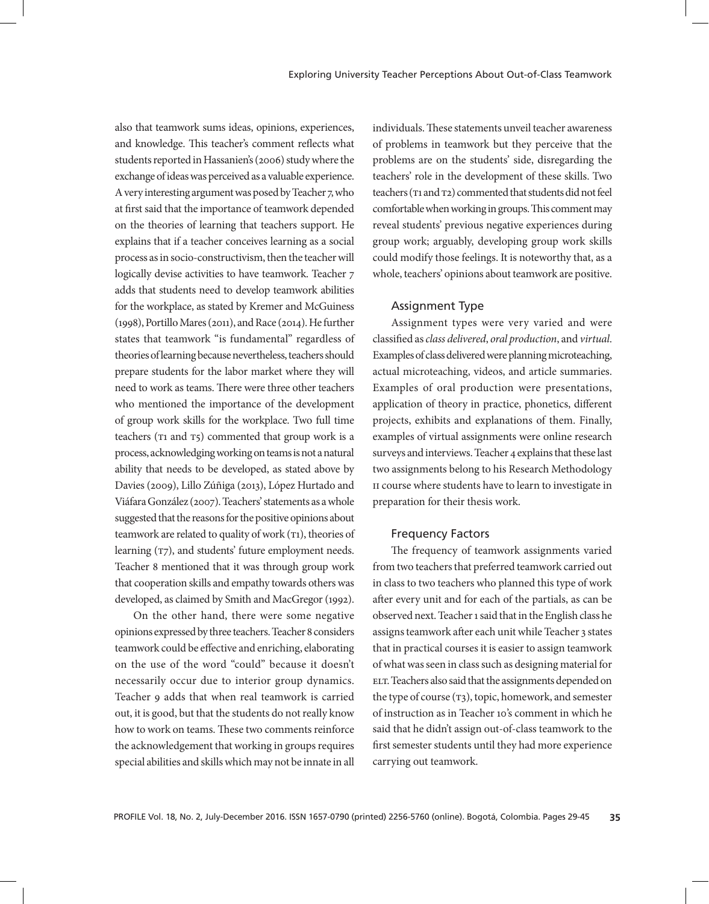also that teamwork sums ideas, opinions, experiences, and knowledge. This teacher's comment reflects what students reported in Hassanien's (2006) study where the exchange of ideas was perceived as a valuable experience. A very interesting argument was posed by Teacher 7, who at first said that the importance of teamwork depended on the theories of learning that teachers support. He explains that if a teacher conceives learning as a social process as in socio-constructivism, then the teacher will logically devise activities to have teamwork. Teacher  $\frac{1}{7}$ adds that students need to develop teamwork abilities for the workplace, as stated by Kremer and McGuiness (1998), Portillo Mares (2011), and Race (2014). He further states that teamwork "is fundamental" regardless of theories of learning because nevertheless, teachers should prepare students for the labor market where they will need to work as teams. There were three other teachers who mentioned the importance of the development of group work skills for the workplace. Two full time teachers ( $T1$  and  $T5$ ) commented that group work is a process, acknowledging working on teams is not a natural ability that needs to be developed, as stated above by Davies (2009), Lillo Zúñiga (2013), López Hurtado and Viáfara González (2007). Teachers' statements as a whole suggested that the reasons for the positive opinions about teamwork are related to quality of work (T1), theories of learning ( $T7$ ), and students' future employment needs. Teacher 8 mentioned that it was through group work that cooperation skills and empathy towards others was developed, as claimed by Smith and MacGregor (1992).

On the other hand, there were some negative opinions expressed by three teachers. Teacher 8 considers teamwork could be effective and enriching, elaborating on the use of the word "could" because it doesn't necessarily occur due to interior group dynamics. Teacher 9 adds that when real teamwork is carried out, it is good, but that the students do not really know how to work on teams. These two comments reinforce the acknowledgement that working in groups requires special abilities and skills which may not be innate in all

individuals. These statements unveil teacher awareness of problems in teamwork but they perceive that the problems are on the students' side, disregarding the teachers' role in the development of these skills. Two teachers (T1 and T2) commented that students did not feel comfortable when working in groups. This comment may reveal students' previous negative experiences during group work; arguably, developing group work skills could modify those feelings. It is noteworthy that, as a whole, teachers' opinions about teamwork are positive.

# Assignment Type

Assignment types were very varied and were classified as *class delivered*, *oral production*, and *virtual*. Examples of class delivered were planning microteaching, actual microteaching, videos, and article summaries. Examples of oral production were presentations, application of theory in practice, phonetics, different projects, exhibits and explanations of them. Finally, examples of virtual assignments were online research surveys and interviews. Teacher 4 explains that these last two assignments belong to his Research Methodology II course where students have to learn to investigate in preparation for their thesis work.

#### Frequency Factors

The frequency of teamwork assignments varied from two teachers that preferred teamwork carried out in class to two teachers who planned this type of work after every unit and for each of the partials, as can be observed next. Teacher 1 said that in the English class he assigns teamwork after each unit while Teacher 3 states that in practical courses it is easier to assign teamwork of what was seen in class such as designing material for ELT. Teachers also said that the assignments depended on the type of course  $(\tau_3)$ , topic, homework, and semester of instruction as in Teacher 10's comment in which he said that he didn't assign out-of-class teamwork to the first semester students until they had more experience carrying out teamwork.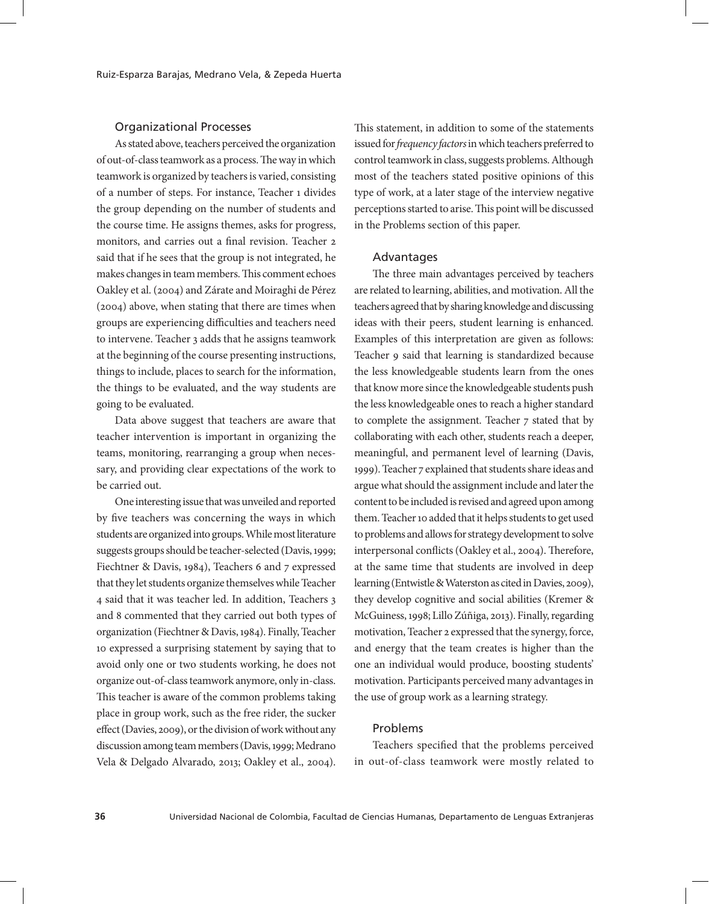# Organizational Processes

As stated above, teachers perceived the organization of out-of-class teamwork as a process. The way in which teamwork is organized by teachers is varied, consisting of a number of steps. For instance, Teacher 1 divides the group depending on the number of students and the course time. He assigns themes, asks for progress, monitors, and carries out a final revision. Teacher 2 said that if he sees that the group is not integrated, he makes changes in team members. This comment echoes Oakley et al. (2004) and Zárate and Moiraghi de Pérez (2004) above, when stating that there are times when groups are experiencing difficulties and teachers need to intervene. Teacher 3 adds that he assigns teamwork at the beginning of the course presenting instructions, things to include, places to search for the information, the things to be evaluated, and the way students are going to be evaluated.

Data above suggest that teachers are aware that teacher intervention is important in organizing the teams, monitoring, rearranging a group when necessary, and providing clear expectations of the work to be carried out.

One interesting issue that was unveiled and reported by five teachers was concerning the ways in which students are organized into groups. While most literature suggests groups should be teacher-selected (Davis, 1999; Fiechtner & Davis, 1984), Teachers 6 and 7 expressed that they let students organize themselves while Teacher 4 said that it was teacher led. In addition, Teachers 3 and 8 commented that they carried out both types of organization (Fiechtner & Davis, 1984). Finally, Teacher 10 expressed a surprising statement by saying that to avoid only one or two students working, he does not organize out-of-class teamwork anymore, only in-class. This teacher is aware of the common problems taking place in group work, such as the free rider, the sucker effect (Davies, 2009), or the division of work without any discussion among team members (Davis, 1999; Medrano Vela & Delgado Alvarado, 2013; Oakley et al., 2004). This statement, in addition to some of the statements issued for *frequency factors* in which teachers preferred to control teamwork in class, suggests problems. Although most of the teachers stated positive opinions of this type of work, at a later stage of the interview negative perceptions started to arise. This point will be discussed in the Problems section of this paper.

#### Advantages

The three main advantages perceived by teachers are related to learning, abilities, and motivation. All the teachers agreed that by sharing knowledge and discussing ideas with their peers, student learning is enhanced. Examples of this interpretation are given as follows: Teacher 9 said that learning is standardized because the less knowledgeable students learn from the ones that know more since the knowledgeable students push the less knowledgeable ones to reach a higher standard to complete the assignment. Teacher 7 stated that by collaborating with each other, students reach a deeper, meaningful, and permanent level of learning (Davis, 1999). Teacher 7 explained that students share ideas and argue what should the assignment include and later the content to be included is revised and agreed upon among them. Teacher 10 added that it helps students to get used to problems and allows for strategy development to solve interpersonal conflicts (Oakley et al., 2004). Therefore, at the same time that students are involved in deep learning (Entwistle & Waterston as cited in Davies, 2009), they develop cognitive and social abilities (Kremer & McGuiness, 1998; Lillo Zúñiga, 2013). Finally, regarding motivation, Teacher 2 expressed that the synergy, force, and energy that the team creates is higher than the one an individual would produce, boosting students' motivation. Participants perceived many advantages in the use of group work as a learning strategy.

#### Problems

Teachers specified that the problems perceived in out-of-class teamwork were mostly related to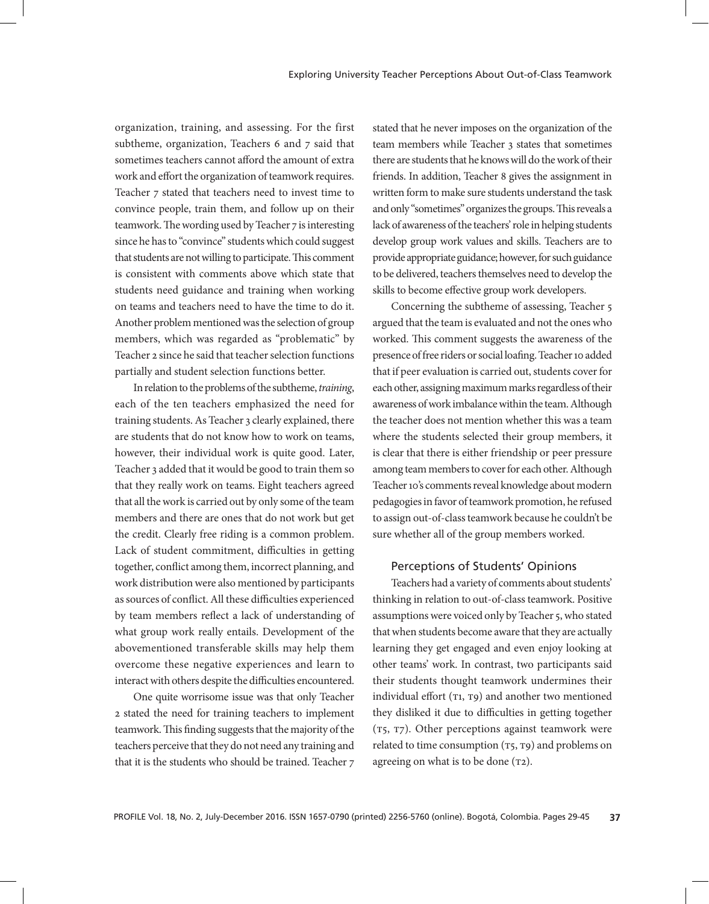organization, training, and assessing. For the first subtheme, organization, Teachers 6 and 7 said that sometimes teachers cannot afford the amount of extra work and effort the organization of teamwork requires. Teacher 7 stated that teachers need to invest time to convince people, train them, and follow up on their teamwork. The wording used by Teacher 7 is interesting since he has to "convince" students which could suggest that students are not willing to participate. This comment is consistent with comments above which state that students need guidance and training when working on teams and teachers need to have the time to do it. Another problem mentioned was the selection of group members, which was regarded as "problematic" by Teacher 2 since he said that teacher selection functions partially and student selection functions better.

In relation to the problems of the subtheme, *training*, each of the ten teachers emphasized the need for training students. As Teacher 3 clearly explained, there are students that do not know how to work on teams, however, their individual work is quite good. Later, Teacher 3 added that it would be good to train them so that they really work on teams. Eight teachers agreed that all the work is carried out by only some of the team members and there are ones that do not work but get the credit. Clearly free riding is a common problem. Lack of student commitment, difficulties in getting together, conflict among them, incorrect planning, and work distribution were also mentioned by participants as sources of conflict. All these difficulties experienced by team members reflect a lack of understanding of what group work really entails. Development of the abovementioned transferable skills may help them overcome these negative experiences and learn to interact with others despite the difficulties encountered.

One quite worrisome issue was that only Teacher 2 stated the need for training teachers to implement teamwork. This finding suggests that the majority of the teachers perceive that they do not need any training and that it is the students who should be trained. Teacher 7

stated that he never imposes on the organization of the team members while Teacher 3 states that sometimes there are students that he knows will do the work of their friends. In addition, Teacher 8 gives the assignment in written form to make sure students understand the task and only "sometimes" organizes the groups. This reveals a lack of awareness of the teachers' role in helping students develop group work values and skills. Teachers are to provide appropriate guidance; however, for such guidance to be delivered, teachers themselves need to develop the skills to become effective group work developers.

Concerning the subtheme of assessing, Teacher 5 argued that the team is evaluated and not the ones who worked. This comment suggests the awareness of the presence of free riders or social loafing. Teacher 10 added that if peer evaluation is carried out, students cover for each other, assigning maximum marks regardless of their awareness of work imbalance within the team. Although the teacher does not mention whether this was a team where the students selected their group members, it is clear that there is either friendship or peer pressure among team members to cover for each other. Although Teacher 10's comments reveal knowledge about modern pedagogies in favor of teamwork promotion, he refused to assign out-of-class teamwork because he couldn't be sure whether all of the group members worked.

# Perceptions of Students' Opinions

Teachers had a variety of comments about students' thinking in relation to out-of-class teamwork. Positive assumptions were voiced only by Teacher 5, who stated that when students become aware that they are actually learning they get engaged and even enjoy looking at other teams' work. In contrast, two participants said their students thought teamwork undermines their individual effort  $(T1, T9)$  and another two mentioned they disliked it due to difficulties in getting together (t5, t7). Other perceptions against teamwork were related to time consumption  $(T_5, T_9)$  and problems on agreeing on what is to be done  $(T2)$ .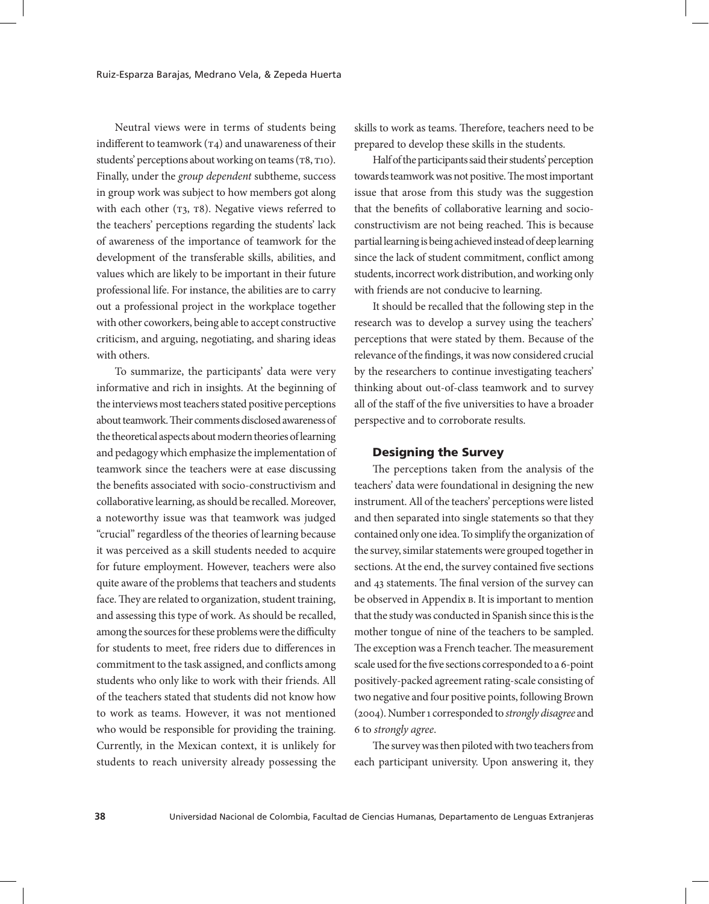Neutral views were in terms of students being indifferent to teamwork  $(\text{t}_4)$  and unawareness of their students' perceptions about working on teams ( $T8, T10$ ). Finally, under the *group dependent* subtheme, success in group work was subject to how members got along with each other  $(T3, T8)$ . Negative views referred to the teachers' perceptions regarding the students' lack of awareness of the importance of teamwork for the development of the transferable skills, abilities, and values which are likely to be important in their future professional life. For instance, the abilities are to carry out a professional project in the workplace together with other coworkers, being able to accept constructive criticism, and arguing, negotiating, and sharing ideas with others.

To summarize, the participants' data were very informative and rich in insights. At the beginning of the interviews most teachers stated positive perceptions about teamwork. Their comments disclosed awareness of the theoretical aspects about modern theories of learning and pedagogy which emphasize the implementation of teamwork since the teachers were at ease discussing the benefits associated with socio-constructivism and collaborative learning, as should be recalled. Moreover, a noteworthy issue was that teamwork was judged "crucial" regardless of the theories of learning because it was perceived as a skill students needed to acquire for future employment. However, teachers were also quite aware of the problems that teachers and students face. They are related to organization, student training, and assessing this type of work. As should be recalled, among the sources for these problems were the difficulty for students to meet, free riders due to differences in commitment to the task assigned, and conflicts among students who only like to work with their friends. All of the teachers stated that students did not know how to work as teams. However, it was not mentioned who would be responsible for providing the training. Currently, in the Mexican context, it is unlikely for students to reach university already possessing the

skills to work as teams. Therefore, teachers need to be prepared to develop these skills in the students.

Half of the participants said their students' perception towards teamwork was not positive. The most important issue that arose from this study was the suggestion that the benefits of collaborative learning and socioconstructivism are not being reached. This is because partial learning is being achieved instead of deep learning since the lack of student commitment, conflict among students, incorrect work distribution, and working only with friends are not conducive to learning.

It should be recalled that the following step in the research was to develop a survey using the teachers' perceptions that were stated by them. Because of the relevance of the findings, it was now considered crucial by the researchers to continue investigating teachers' thinking about out-of-class teamwork and to survey all of the staff of the five universities to have a broader perspective and to corroborate results.

#### Designing the Survey

The perceptions taken from the analysis of the teachers' data were foundational in designing the new instrument. All of the teachers' perceptions were listed and then separated into single statements so that they contained only one idea. To simplify the organization of the survey, similar statements were grouped together in sections. At the end, the survey contained five sections and 43 statements. The final version of the survey can be observed in Appendix в. It is important to mention that the study was conducted in Spanish since this is the mother tongue of nine of the teachers to be sampled. The exception was a French teacher. The measurement scale used for the five sections corresponded to a 6-point positively-packed agreement rating-scale consisting of two negative and four positive points, following Brown (2004). Number 1 corresponded to *strongly disagree* and 6 to *strongly agree*.

The survey was then piloted with two teachers from each participant university. Upon answering it, they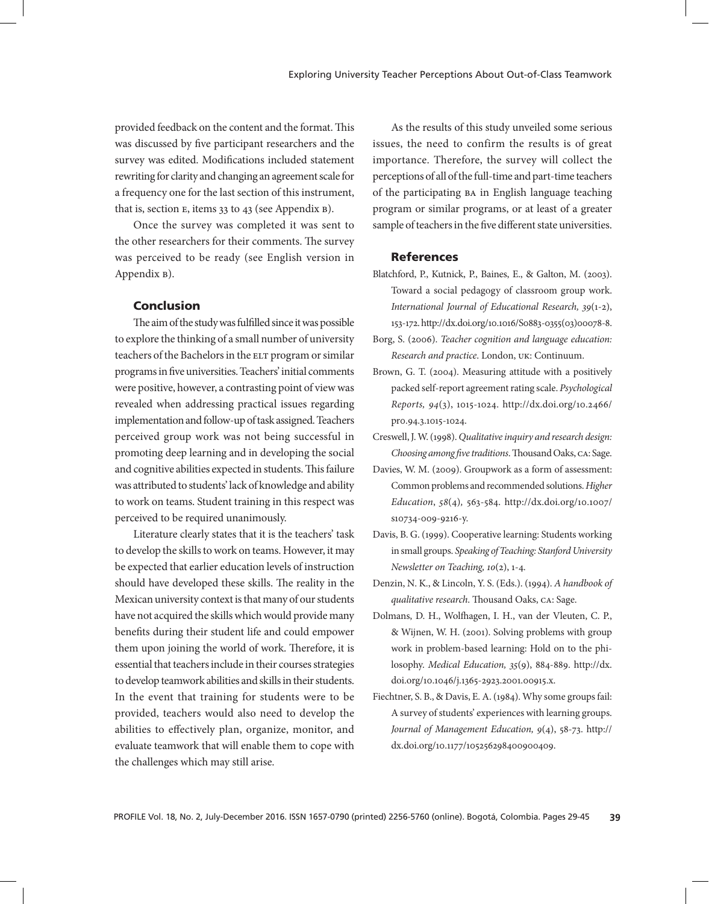provided feedback on the content and the format. This was discussed by five participant researchers and the survey was edited. Modifications included statement rewriting for clarity and changing an agreement scale for a frequency one for the last section of this instrument, that is, section e, items 33 to 43 (see Appendix b).

Once the survey was completed it was sent to the other researchers for their comments. The survey was perceived to be ready (see English version in Appendix b).

#### Conclusion

The aim of the study was fulfilled since it was possible to explore the thinking of a small number of university teachers of the Bachelors in the ELT program or similar programs in five universities. Teachers' initial comments were positive, however, a contrasting point of view was revealed when addressing practical issues regarding implementation and follow-up of task assigned. Teachers perceived group work was not being successful in promoting deep learning and in developing the social and cognitive abilities expected in students. This failure was attributed to students' lack of knowledge and ability to work on teams. Student training in this respect was perceived to be required unanimously.

Literature clearly states that it is the teachers' task to develop the skills to work on teams. However, it may be expected that earlier education levels of instruction should have developed these skills. The reality in the Mexican university context is that many of our students have not acquired the skills which would provide many benefits during their student life and could empower them upon joining the world of work. Therefore, it is essential that teachers include in their courses strategies to develop teamwork abilities and skills in their students. In the event that training for students were to be provided, teachers would also need to develop the abilities to effectively plan, organize, monitor, and evaluate teamwork that will enable them to cope with the challenges which may still arise.

As the results of this study unveiled some serious issues, the need to confirm the results is of great importance. Therefore, the survey will collect the perceptions of all of the full-time and part-time teachers of the participating ba in English language teaching program or similar programs, or at least of a greater sample of teachers in the five different state universities.

#### References

- Blatchford, P., Kutnick, P., Baines, E., & Galton, M. (2003). Toward a social pedagogy of classroom group work. *International Journal of Educational Research, 39*(1-2), 153-172. http://dx.doi.org/10.1016/S0883-0355(03)00078-8.
- Borg, S. (2006). *Teacher cognition and language education: Research and practice*. London, uk: Continuum.
- Brown, G. T. (2004). Measuring attitude with a positively packed self-report agreement rating scale. *Psychological Reports, 94*(3), 1015-1024. http://dx.doi.org/10.2466/ pr0.94.3.1015-1024.
- Creswell, J. W. (1998). *Qualitative inquiry and research design: Choosing among five traditions*. Thousand Oaks, ca: Sage.
- Davies, W. M. (2009). Groupwork as a form of assessment: Common problems and recommended solutions. *Higher Education*, *58*(4)*,* 563-584. http://dx.doi.org/10.1007/ s10734-009-9216-y.
- Davis, B. G. (1999). Cooperative learning: Students working in small groups. *Speaking of Teaching: Stanford University Newsletter on Teaching, 10*(2), 1-4.
- Denzin, N. K., & Lincoln, Y. S. (Eds.). (1994). *A handbook of qualitative research*. Thousand Oaks, ca: Sage.
- Dolmans, D. H., Wolfhagen, I. H., van der Vleuten, C. P., & Wijnen, W. H. (2001). Solving problems with group work in problem-based learning: Hold on to the philosophy. *Medical Education, 35*(9), 884-889. http://dx. doi.org/10.1046/j.1365-2923.2001.00915.x.
- Fiechtner, S. B., & Davis, E. A. (1984). Why some groups fail: A survey of students' experiences with learning groups. *Journal of Management Education, 9*(4), 58-73. http:// dx.doi.org/10.1177/105256298400900409.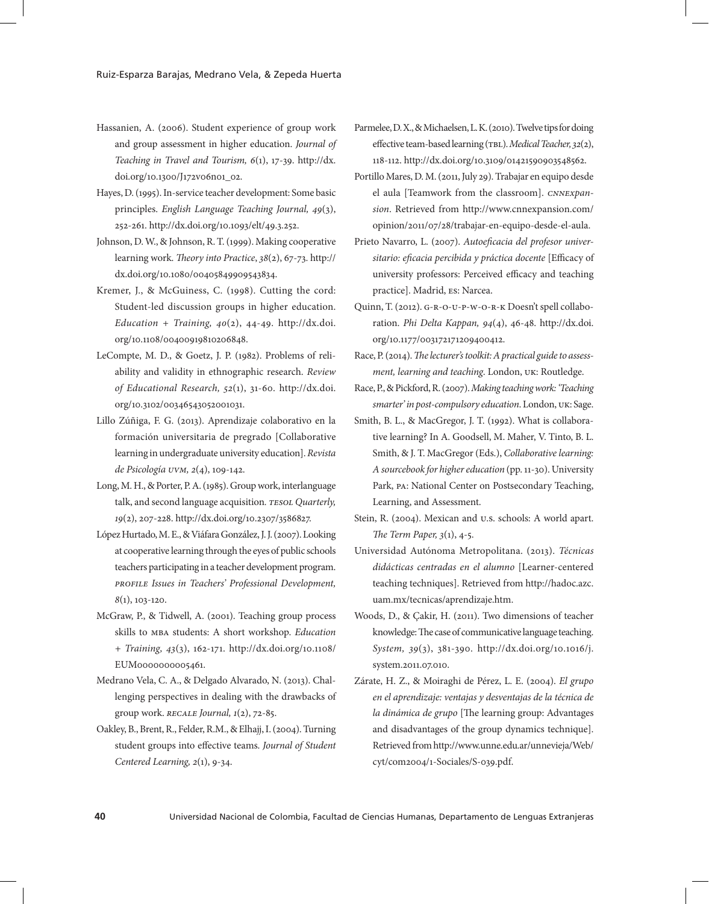- Hassanien, A. (2006). Student experience of group work and group assessment in higher education. *Journal of Teaching in Travel and Tourism, 6*(1), 17-39. http://dx. doi.org/10.1300/J172v06n01\_02.
- Hayes, D. (1995). In-service teacher development: Some basic principles. *English Language Teaching Journal, 49*(3), 252-261. http://dx.doi.org/10.1093/elt/49.3.252.
- Johnson, D. W., & Johnson, R. T. (1999). Making cooperative learning work. *Theory into Practice*, *38*(2), 67-73. http:// dx.doi.org/10.1080/00405849909543834.
- Kremer, J., & McGuiness, C. (1998). Cutting the cord: Student-led discussion groups in higher education. *Education + Training, 40*(2), 44-49. http://dx.doi. org/10.1108/00400919810206848.
- LeCompte, M. D., & Goetz, J. P. (1982). Problems of reliability and validity in ethnographic research. *Review of Educational Research, 52*(1), 31-60. http://dx.doi. org/10.3102/00346543052001031.
- Lillo Zúñiga, F. G. (2013). Aprendizaje colaborativo en la formación universitaria de pregrado [Collaborative learning in undergraduate university education]. *Revista de Psicología uvm, 2*(4), 109-142.
- Long, M. H., & Porter, P. A. (1985). Group work, interlanguage talk, and second language acquisition*. tesol Quarterly, 19*(2), 207-228. http://dx.doi.org/10.2307/3586827.
- López Hurtado, M. E., & Viáfara González, J. J. (2007). Looking at cooperative learning through the eyes of public schools teachers participating in a teacher development program. *profile Issues in Teachers' Professional Development, 8*(1), 103-120.
- McGraw, P., & Tidwell, A. (2001). Teaching group process skills to mba students: A short workshop. *Education + Training, 43*(3), 162-171. http://dx.doi.org/10.1108/ EUM0000000005461.
- Medrano Vela, C. A., & Delgado Alvarado, N. (2013). Challenging perspectives in dealing with the drawbacks of group work. *recale Journal, 1*(2), 72-85.
- Oakley, B., Brent, R., Felder, R.M., & Elhajj, I. (2004). Turning student groups into effective teams. *Journal of Student Centered Learning, 2*(1), 9-34.
- Parmelee, D. X., & Michaelsen, L. K. (2010). Twelve tips for doing effective team-based learning (тв<sub>L</sub>). *Medical Teacher*, 32(2), 118-112. http://dx.doi.org/10.3109/01421590903548562.
- Portillo Mares, D. M. (2011, July 29). Trabajar en equipo desde el aula [Teamwork from the classroom]. *cnnexpansion*. Retrieved from http://www.cnnexpansion.com/ opinion/2011/07/28/trabajar-en-equipo-desde-el-aula.
- Prieto Navarro, L. (2007). *Autoeficacia del profesor universitario: eficacia percibida y práctica docente* [Efficacy of university professors: Perceived efficacy and teaching practice]. Madrid, es: Narcea.
- Quinn, T. (2012). g-r-o-u-p-w-o-r-k Doesn't spell collaboration. *Phi Delta Kappan, 94*(4), 46-48. http://dx.doi. org/10.1177/003172171209400412.
- Race, P. (2014). *The lecturer's toolkit: A practical guide to assessment, learning and teaching*. London, uk: Routledge.
- Race, P., & Pickford, R. (2007). *Making teaching work: 'Teaching smarter' in post-compulsory education*. London, uk: Sage.
- Smith, B. L., & MacGregor, J. T. (1992). What is collaborative learning? In A. Goodsell, M. Maher, V. Tinto, B. L. Smith, & J. T. MacGregor (Eds.), *Collaborative learning: A sourcebook for higher education* (pp. 11-30). University Park, pa: National Center on Postsecondary Teaching, Learning, and Assessment.
- Stein, R. (2004). Mexican and u.s. schools: A world apart. *The Term Paper, 3*(1), 4-5.
- Universidad Autónoma Metropolitana. (2013). *Técnicas didácticas centradas en el alumno* [Learner-centered teaching techniques]. Retrieved from http://hadoc.azc. uam.mx/tecnicas/aprendizaje.htm.
- Woods, D., & Çakir, H. (2011). Two dimensions of teacher knowledge: The case of communicative language teaching. *System, 39*(3), 381-390. http://dx.doi.org/10.1016/j. system.2011.07.010.
- Zárate, H. Z., & Moiraghi de Pérez, L. E. (2004). *El grupo en el aprendizaje: ventajas y desventajas de la técnica de la dinámica de grupo* [The learning group: Advantages and disadvantages of the group dynamics technique]. Retrieved from http://www.unne.edu.ar/unnevieja/Web/ cyt/com2004/1-Sociales/S-039.pdf.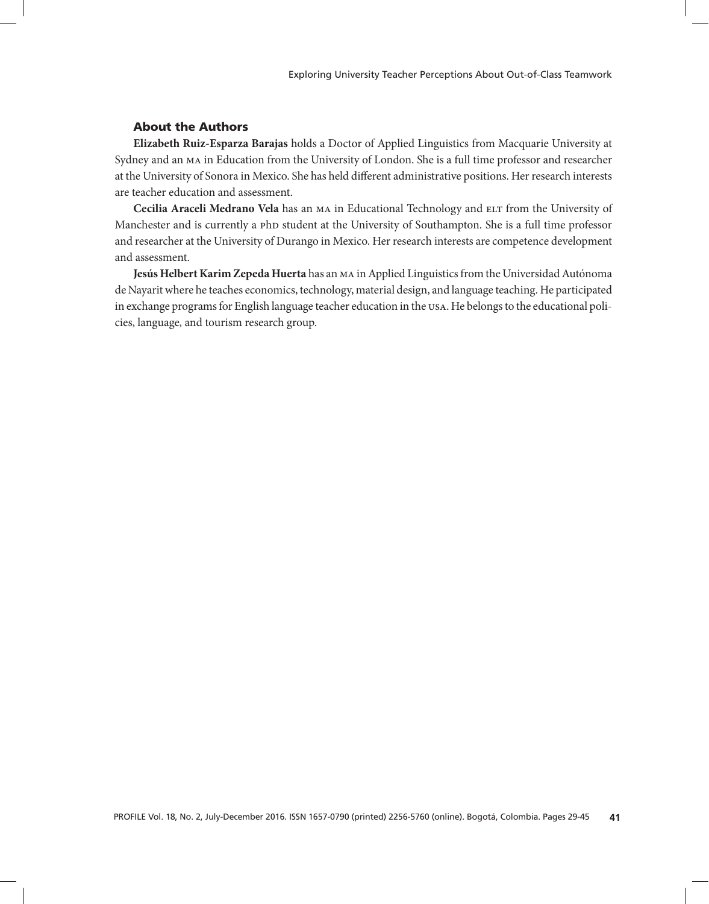# About the Authors

**Elizabeth Ruiz-Esparza Barajas** holds a Doctor of Applied Linguistics from Macquarie University at Sydney and an ma in Education from the University of London. She is a full time professor and researcher at the University of Sonora in Mexico. She has held different administrative positions. Her research interests are teacher education and assessment.

**Cecilia Araceli Medrano Vela** has an ma in Educational Technology and elt from the University of Manchester and is currently a php student at the University of Southampton. She is a full time professor and researcher at the University of Durango in Mexico. Her research interests are competence development and assessment.

**Jesús Helbert Karim Zepeda Huerta** has an ma in Applied Linguistics from the Universidad Autónoma de Nayarit where he teaches economics, technology, material design, and language teaching. He participated in exchange programs for English language teacher education in the usa. He belongs to the educational policies, language, and tourism research group.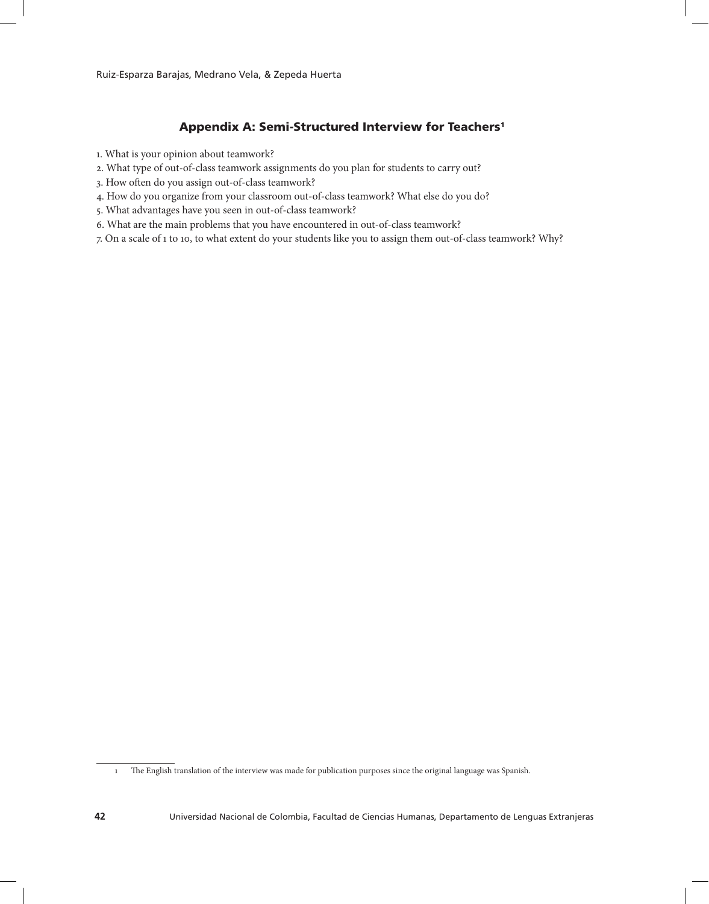# Appendix A: Semi-Structured Interview for Teachers1

- 1. What is your opinion about teamwork?
- 2. What type of out-of-class teamwork assignments do you plan for students to carry out?
- 3. How often do you assign out-of-class teamwork?
- 4. How do you organize from your classroom out-of-class teamwork? What else do you do?
- 5. What advantages have you seen in out-of-class teamwork?
- 6. What are the main problems that you have encountered in out-of-class teamwork?
- 7. On a scale of 1 to 10, to what extent do your students like you to assign them out-of-class teamwork? Why?

<sup>1</sup> The English translation of the interview was made for publication purposes since the original language was Spanish.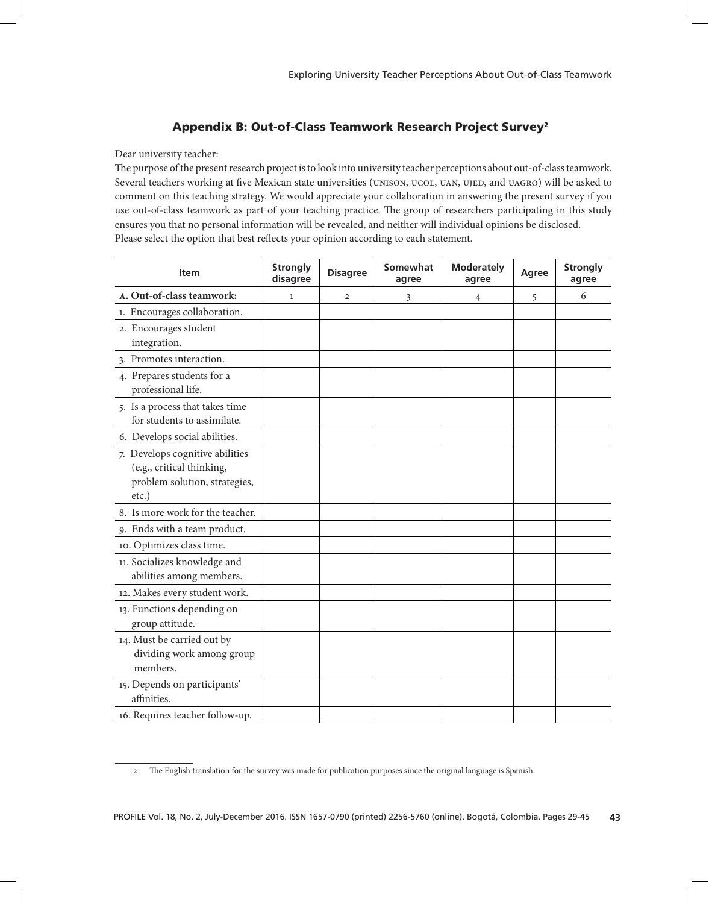# Appendix B: Out-of-Class Teamwork Research Project Survey2

Dear university teacher:

The purpose of the present research project is to look into university teacher perceptions about out-of-class teamwork. Several teachers working at five Mexican state universities (UNISON, UCOL, UAN, UJED, and UAGRO) will be asked to comment on this teaching strategy. We would appreciate your collaboration in answering the present survey if you use out-of-class teamwork as part of your teaching practice. The group of researchers participating in this study ensures you that no personal information will be revealed, and neither will individual opinions be disclosed. Please select the option that best reflects your opinion according to each statement.

| <b>Item</b>                                                                                            | <b>Strongly</b><br>disagree | <b>Disagree</b> | Somewhat<br>agree | <b>Moderately</b><br>agree | Agree | <b>Strongly</b><br>agree |
|--------------------------------------------------------------------------------------------------------|-----------------------------|-----------------|-------------------|----------------------------|-------|--------------------------|
| A. Out-of-class teamwork:                                                                              | $\mathbf{1}$                | $\mathbf{2}$    | 3                 | 4                          | 5     | 6                        |
| 1. Encourages collaboration.                                                                           |                             |                 |                   |                            |       |                          |
| 2. Encourages student<br>integration.                                                                  |                             |                 |                   |                            |       |                          |
| 3. Promotes interaction.                                                                               |                             |                 |                   |                            |       |                          |
| 4. Prepares students for a<br>professional life.                                                       |                             |                 |                   |                            |       |                          |
| 5. Is a process that takes time<br>for students to assimilate.                                         |                             |                 |                   |                            |       |                          |
| 6. Develops social abilities.                                                                          |                             |                 |                   |                            |       |                          |
| 7. Develops cognitive abilities<br>(e.g., critical thinking,<br>problem solution, strategies,<br>etc.) |                             |                 |                   |                            |       |                          |
| 8. Is more work for the teacher.                                                                       |                             |                 |                   |                            |       |                          |
| 9. Ends with a team product.                                                                           |                             |                 |                   |                            |       |                          |
| 10. Optimizes class time.                                                                              |                             |                 |                   |                            |       |                          |
| 11. Socializes knowledge and<br>abilities among members.                                               |                             |                 |                   |                            |       |                          |
| 12. Makes every student work.                                                                          |                             |                 |                   |                            |       |                          |
| 13. Functions depending on<br>group attitude.                                                          |                             |                 |                   |                            |       |                          |
| 14. Must be carried out by<br>dividing work among group<br>members.                                    |                             |                 |                   |                            |       |                          |
| 15. Depends on participants'<br>affinities.                                                            |                             |                 |                   |                            |       |                          |
| 16. Requires teacher follow-up.                                                                        |                             |                 |                   |                            |       |                          |

<sup>2</sup> The English translation for the survey was made for publication purposes since the original language is Spanish.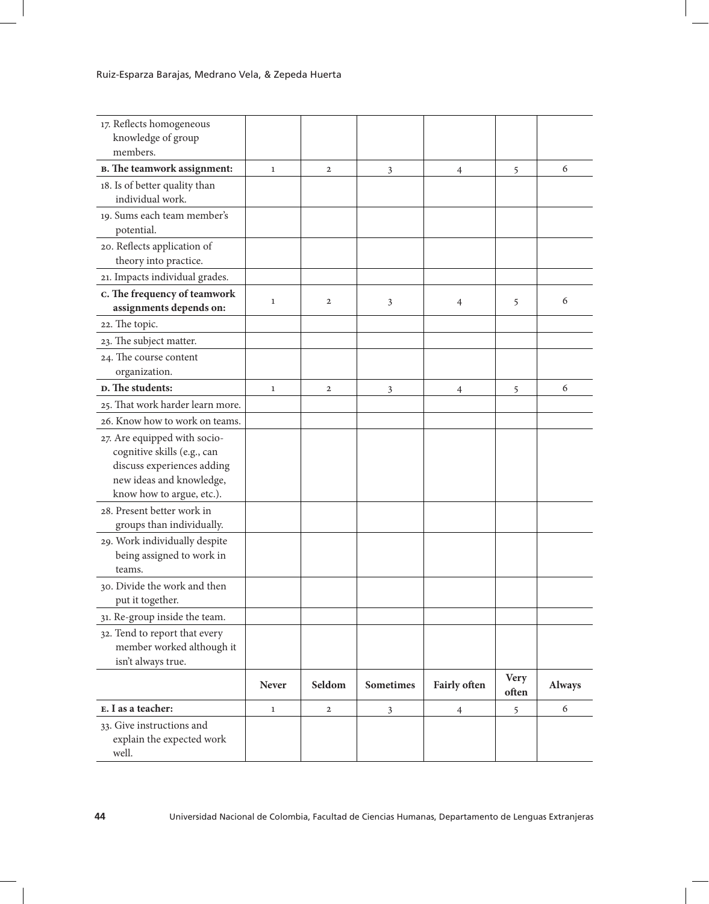| 17. Reflects homogeneous<br>knowledge of group                                                                                                     |              |              |           |                |                      |               |
|----------------------------------------------------------------------------------------------------------------------------------------------------|--------------|--------------|-----------|----------------|----------------------|---------------|
| members.                                                                                                                                           |              |              |           |                |                      |               |
| <b>B.</b> The teamwork assignment:                                                                                                                 | $\mathbf{1}$ | $\mathbf{2}$ | 3         | 4              | 5                    | 6             |
| 18. Is of better quality than<br>individual work.                                                                                                  |              |              |           |                |                      |               |
| 19. Sums each team member's<br>potential.                                                                                                          |              |              |           |                |                      |               |
| 20. Reflects application of<br>theory into practice.                                                                                               |              |              |           |                |                      |               |
| 21. Impacts individual grades.                                                                                                                     |              |              |           |                |                      |               |
| c. The frequency of teamwork<br>assignments depends on:                                                                                            | $\mathbf{1}$ | $\mathbf{2}$ | 3         | $\overline{4}$ | 5                    | 6             |
| 22. The topic.                                                                                                                                     |              |              |           |                |                      |               |
| 23. The subject matter.                                                                                                                            |              |              |           |                |                      |               |
| 24. The course content<br>organization.                                                                                                            |              |              |           |                |                      |               |
| <b>D.</b> The students:                                                                                                                            | $\mathbf{1}$ | $\mathbf{2}$ | 3         | 4              | 5                    | 6             |
| 25. That work harder learn more.                                                                                                                   |              |              |           |                |                      |               |
| 26. Know how to work on teams.                                                                                                                     |              |              |           |                |                      |               |
| 27. Are equipped with socio-<br>cognitive skills (e.g., can<br>discuss experiences adding<br>new ideas and knowledge,<br>know how to argue, etc.). |              |              |           |                |                      |               |
| 28. Present better work in<br>groups than individually.                                                                                            |              |              |           |                |                      |               |
| 29. Work individually despite<br>being assigned to work in<br>teams.                                                                               |              |              |           |                |                      |               |
| 30. Divide the work and then<br>put it together.                                                                                                   |              |              |           |                |                      |               |
| 31. Re-group inside the team.                                                                                                                      |              |              |           |                |                      |               |
| 32. Tend to report that every<br>member worked although it<br>isn't always true.                                                                   |              |              |           |                |                      |               |
|                                                                                                                                                    | Never        | Seldom       | Sometimes | Fairly often   | <b>Very</b><br>often | <b>Always</b> |
| E. I as a teacher:                                                                                                                                 | $\mathbf 1$  | $\mathbf{2}$ | 3         | 4              | 5                    | 6             |
| 33. Give instructions and<br>explain the expected work<br>well.                                                                                    |              |              |           |                |                      |               |